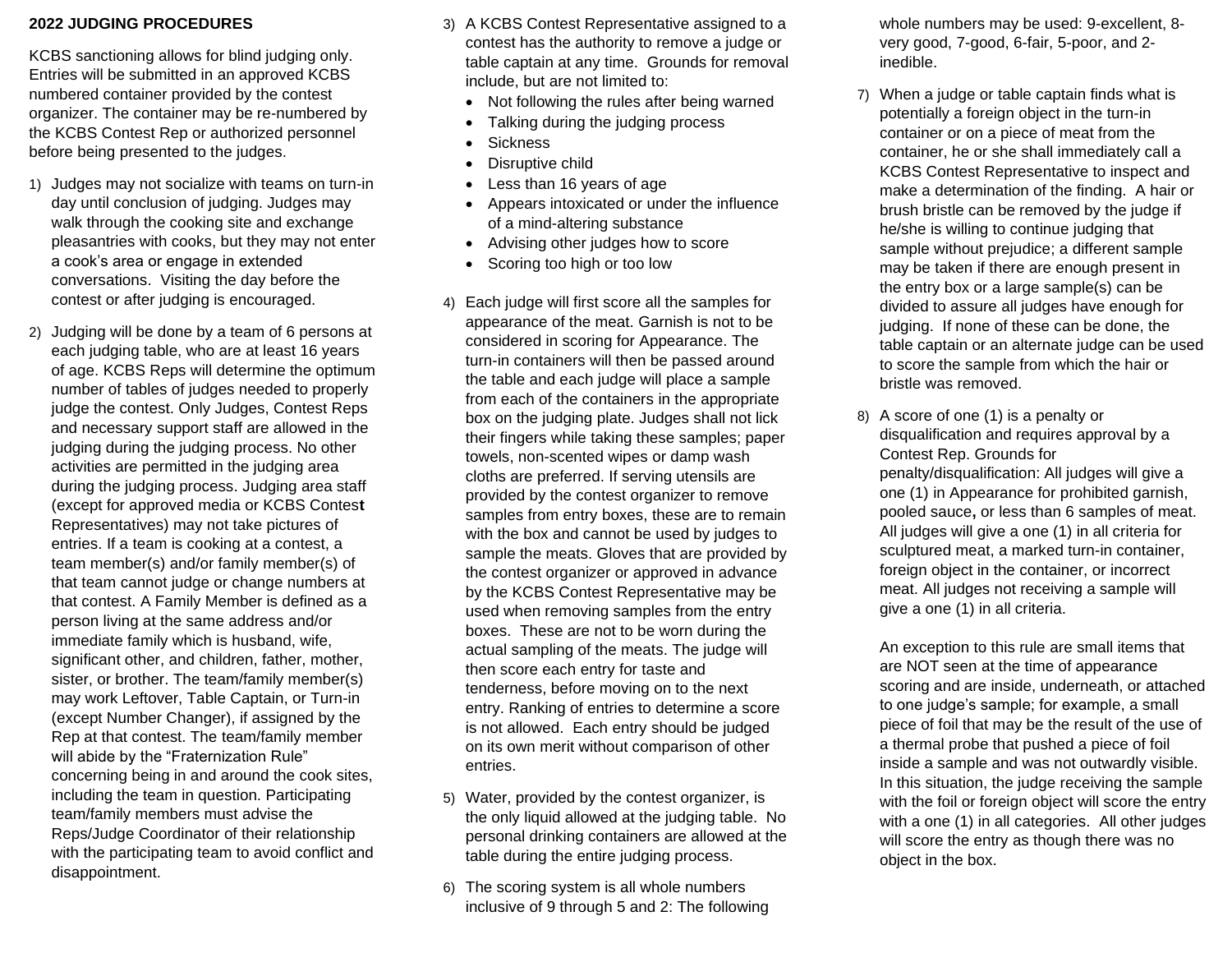## **2022 JUDGING PROCEDURES**

KCBS sanctioning allows for blind judging only. Entries will be submitted in an approved KCBS numbered container provided by the contest organizer. The container may be re-numbered by the KCBS Contest Rep or authorized personnel before being presented to the judges.

- 1) Judges may not socialize with teams on turn-in day until conclusion of judging. Judges may walk through the cooking site and exchange pleasantries with cooks, but they may not enter a cook's area or engage in extended conversations. Visiting the day before the contest or after judging is encouraged.
- 2) Judging will be done by a team of 6 persons at each judging table, who are at least 16 years of age. KCBS Reps will determine the optimum number of tables of judges needed to properly judge the contest. Only Judges, Contest Reps and necessary support staff are allowed in the judging during the judging process. No other activities are permitted in the judging area during the judging process. Judging area staff (except for approved media or KCBS Contes**t** Representatives) may not take pictures of entries. If a team is cooking at a contest, a team member(s) and/or family member(s) of that team cannot judge or change numbers at that contest. A Family Member is defined as a person living at the same address and/or immediate family which is husband, wife, significant other, and children, father, mother, sister, or brother. The team/family member(s) may work Leftover, Table Captain, or Turn-in (except Number Changer), if assigned by the Rep at that contest. The team/family member will abide by the "Fraternization Rule" concerning being in and around the cook sites, including the team in question. Participating team/family members must advise the Reps/Judge Coordinator of their relationship with the participating team to avoid conflict and disappointment.
- 3) A KCBS Contest Representative assigned to a contest has the authority to remove a judge or table captain at any time. Grounds for removal include, but are not limited to:
	- Not following the rules after being warned
	- Talking during the judging process
	- **Sickness**
	- Disruptive child
	- Less than 16 years of age
	- Appears intoxicated or under the influence of a mind-altering substance
	- Advising other judges how to score
	- Scoring too high or too low
- 4) Each judge will first score all the samples for appearance of the meat. Garnish is not to be considered in scoring for Appearance. The turn-in containers will then be passed around the table and each judge will place a sample from each of the containers in the appropriate box on the judging plate. Judges shall not lick their fingers while taking these samples; paper towels, non-scented wipes or damp wash cloths are preferred. If serving utensils are provided by the contest organizer to remove samples from entry boxes, these are to remain with the box and cannot be used by judges to sample the meats. Gloves that are provided by the contest organizer or approved in advance by the KCBS Contest Representative may be used when removing samples from the entry boxes. These are not to be worn during the actual sampling of the meats. The judge will then score each entry for taste and tenderness, before moving on to the next entry. Ranking of entries to determine a score is not allowed. Each entry should be judged on its own merit without comparison of other entries.
- 5) Water, provided by the contest organizer, is the only liquid allowed at the judging table. No personal drinking containers are allowed at the table during the entire judging process.
- 6) The scoring system is all whole numbers inclusive of 9 through 5 and 2: The following

whole numbers may be used: 9-excellent, 8 very good, 7-good, 6-fair, 5-poor, and 2 inedible.

- 7) When a judge or table captain finds what is potentially a foreign object in the turn-in container or on a piece of meat from the container, he or she shall immediately call a KCBS Contest Representative to inspect and make a determination of the finding. A hair or brush bristle can be removed by the judge if he/she is willing to continue judging that sample without prejudice; a different sample may be taken if there are enough present in the entry box or a large sample(s) can be divided to assure all judges have enough for judging. If none of these can be done, the table captain or an alternate judge can be used to score the sample from which the hair or bristle was removed.
- 8) A score of one (1) is a penalty or disqualification and requires approval by a Contest Rep. Grounds for penalty/disqualification: All judges will give a one (1) in Appearance for prohibited garnish, pooled sauce**,** or less than 6 samples of meat. All judges will give a one (1) in all criteria for sculptured meat, a marked turn-in container, foreign object in the container, or incorrect meat. All judges not receiving a sample will give a one (1) in all criteria.

An exception to this rule are small items that are NOT seen at the time of appearance scoring and are inside, underneath, or attached to one judge's sample; for example, a small piece of foil that may be the result of the use of a thermal probe that pushed a piece of foil inside a sample and was not outwardly visible. In this situation, the judge receiving the sample with the foil or foreign object will score the entry with a one (1) in all categories. All other judges will score the entry as though there was no object in the box.